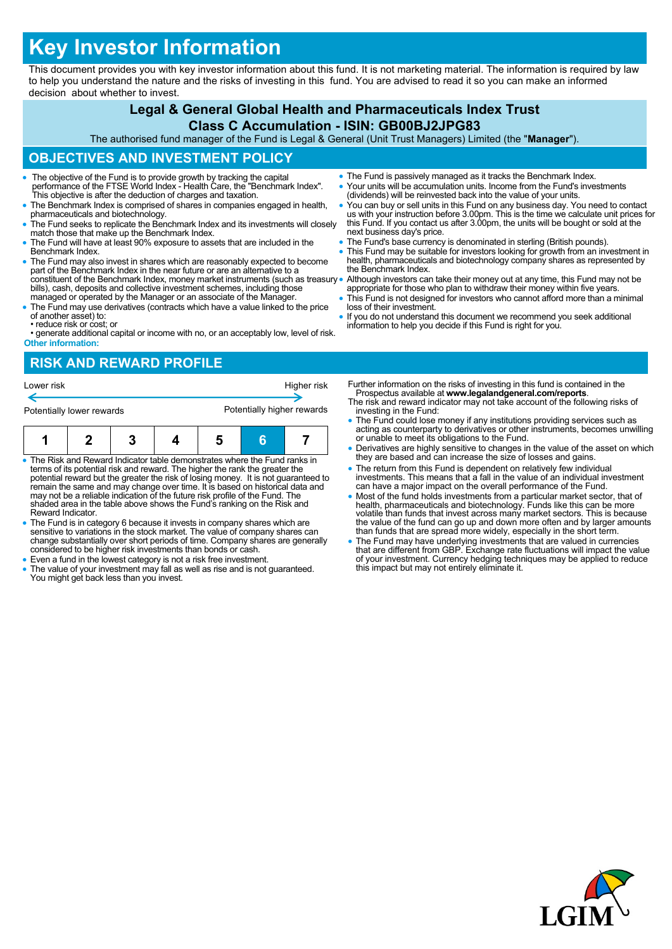# **Key Investor Information**

This document provides you with key investor information about this fund. It is not marketing material. The information is required by law to help you understand the nature and the risks of investing in this fund. You are advised to read it so you can make an informed decision about whether to invest.

# **Legal & General Global Health and Pharmaceuticals Index Trust**

#### **Class C Accumulation - ISIN: GB00BJ2JPG83**

The authorised fund manager of the Fund is Legal & General (Unit Trust Managers) Limited (the "**Manager**").

# **OBJECTIVES AND INVESTMENT POLICY**

- The objective of the Fund is to provide growth by tracking the capital performance of the FTSE World Index Health Care, the "Benchmark Index". This objective is after the deduction of charges and taxation.
- The Benchmark Index is comprised of shares in companies engaged in health, pharmaceuticals and biotechnology.
- The Fund seeks to replicate the Benchmark Index and its investments will closely match those that make up the Benchmark Index.
- The Fund will have at least 90% exposure to assets that are included in the Benchmark Index.
- The Fund may also invest in shares which are reasonably expected to become part of the Benchmark Index in the near future or are an alternative to a constituent of the Benchmark Index, money market instruments (such as treasury bills), cash, deposits and collective investment schemes, including those managed or operated by the Manager or an associate of the Manager.
- The Fund may use derivatives (contracts which have a value linked to the price of another asset) to:
- reduce risk or cost; or
- generate additional capital or income with no, or an acceptably low, level of risk. **Other information:**

# **RISK AND REWARD PROFILE**

| Lower risk                |  |  |  | Higher risk                |  |  |
|---------------------------|--|--|--|----------------------------|--|--|
| Potentially lower rewards |  |  |  | Potentially higher rewards |  |  |
|                           |  |  |  |                            |  |  |

- The Risk and Reward Indicator table demonstrates where the Fund ranks in terms of its potential risk and reward. The higher the rank the greater the potential reward but the greater the risk of losing money. It is not guaranteed to remain the same and may change over time. It is based on historical data and may not be a reliable indication of the future risk profile of the Fund. The shaded area in the table above shows the Fund's ranking on the Risk and Reward Indicator.
- The Fund is in category 6 because it invests in company shares which are sensitive to variations in the stock market. The value of company shares can change substantially over short periods of time. Company shares are generally considered to be higher risk investments than bonds or cash.
- Even a fund in the lowest category is not a risk free investment.
- The value of your investment may fall as well as rise and is not guaranteed. You might get back less than you invest.
- The Fund is passively managed as it tracks the Benchmark Index. Your units will be accumulation units. Income from the Fund's investments (dividends) will be reinvested back into the value of your units.
- You can buy or sell units in this Fund on any business day. You need to contact us with your instruction before 3.00pm. This is the time we calculate unit prices for this Fund. If you contact us after 3.00pm, the units will be bought or sold at the next business day's price.
- The Fund's base currency is denominated in sterling (British pounds).
- This Fund may be suitable for investors looking for growth from an investment in health, pharmaceuticals and biotechnology company shares as represented by the Benchmark Index.

 Although investors can take their money out at any time, this Fund may not be appropriate for those who plan to withdraw their money within five years. This Fund is not designed for investors who cannot afford more than a minimal

- loss of their investment.
- If you do not understand this document we recommend you seek additional information to help you decide if this Fund is right for you.

Further information on the risks of investing in this fund is contained in the Prospectus available at **www.legalandgeneral.com/reports**. The risk and reward indicator may not take account of the following risks of

- investing in the Fund: The Fund could lose money if any institutions providing services such as acting as counterparty to derivatives or other instruments, becomes unwilling or unable to meet its obligations to the Fund.
- Derivatives are highly sensitive to changes in the value of the asset on which they are based and can increase the size of losses and gains.
- The return from this Fund is dependent on relatively few individual investments. This means that a fall in the value of an individual investment can have a major impact on the overall performance of the Fund.
- Most of the fund holds investments from a particular market sector, that of health, pharmaceuticals and biotechnology. Funds like this can be more volatile than funds that invest across many market sectors. This is because the value of the fund can go up and down more often and by larger amounts than funds that are spread more widely, especially in the short term.
- The Fund may have underlying investments that are valued in currencies that are different from GBP. Exchange rate fluctuations will impact the value of your investment. Currency hedging techniques may be applied to reduce this impact but may not entirely eliminate it.